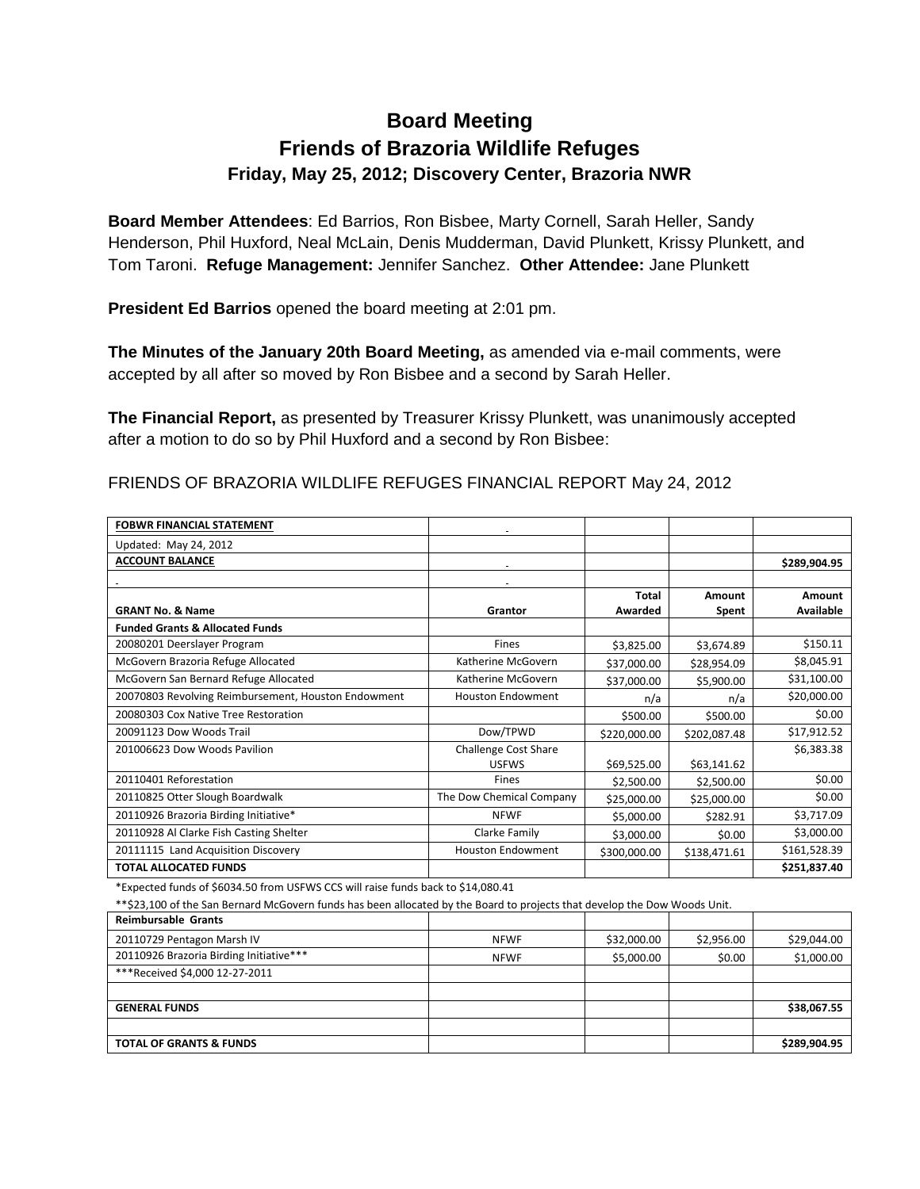## **Board Meeting Friends of Brazoria Wildlife Refuges Friday, May 25, 2012; Discovery Center, Brazoria NWR**

**Board Member Attendees**: Ed Barrios, Ron Bisbee, Marty Cornell, Sarah Heller, Sandy Henderson, Phil Huxford, Neal McLain, Denis Mudderman, David Plunkett, Krissy Plunkett, and Tom Taroni. **Refuge Management:** Jennifer Sanchez. **Other Attendee:** Jane Plunkett

**President Ed Barrios** opened the board meeting at 2:01 pm.

**The Minutes of the January 20th Board Meeting,** as amended via e-mail comments, were accepted by all after so moved by Ron Bisbee and a second by Sarah Heller.

**The Financial Report,** as presented by Treasurer Krissy Plunkett, was unanimously accepted after a motion to do so by Phil Huxford and a second by Ron Bisbee:

| <b>FOBWR FINANCIAL STATEMENT</b>                    |                             |              |               |              |
|-----------------------------------------------------|-----------------------------|--------------|---------------|--------------|
| Updated: May 24, 2012                               |                             |              |               |              |
| <b>ACCOUNT BALANCE</b>                              |                             |              |               | \$289,904.95 |
|                                                     |                             |              |               |              |
|                                                     |                             | Total        | <b>Amount</b> | Amount       |
| <b>GRANT No. &amp; Name</b>                         | Grantor                     | Awarded      | Spent         | Available    |
| <b>Funded Grants &amp; Allocated Funds</b>          |                             |              |               |              |
| 20080201 Deerslayer Program                         | <b>Fines</b>                | \$3,825.00   | \$3,674.89    | \$150.11     |
| McGovern Brazoria Refuge Allocated                  | Katherine McGovern          | \$37,000.00  | \$28,954.09   | \$8,045.91   |
| McGovern San Bernard Refuge Allocated               | Katherine McGovern          | \$37,000.00  | \$5,900.00    | \$31,100.00  |
| 20070803 Revolving Reimbursement, Houston Endowment | <b>Houston Endowment</b>    | n/a          | n/a           | \$20,000.00  |
| 20080303 Cox Native Tree Restoration                |                             | \$500.00     | \$500.00      | \$0.00       |
| 20091123 Dow Woods Trail                            | Dow/TPWD                    | \$220,000.00 | \$202,087.48  | \$17,912.52  |
| 201006623 Dow Woods Pavilion                        | <b>Challenge Cost Share</b> |              |               | \$6,383.38   |
|                                                     | <b>USFWS</b>                | \$69,525.00  | \$63,141.62   |              |
| 20110401 Reforestation                              | Fines                       | \$2,500.00   | \$2,500.00    | \$0.00       |
| 20110825 Otter Slough Boardwalk                     | The Dow Chemical Company    | \$25,000.00  | \$25,000.00   | \$0.00       |
| 20110926 Brazoria Birding Initiative*               | <b>NFWF</b>                 | \$5,000.00   | \$282.91      | \$3,717.09   |
| 20110928 Al Clarke Fish Casting Shelter             | Clarke Family               | \$3,000.00   | \$0.00        | \$3,000.00   |
| 20111115 Land Acquisition Discovery                 | <b>Houston Endowment</b>    | \$300,000.00 | \$138,471.61  | \$161,528.39 |
| <b>TOTAL ALLOCATED FUNDS</b>                        |                             |              |               | \$251,837.40 |

FRIENDS OF BRAZORIA WILDLIFE REFUGES FINANCIAL REPORT May 24, 2012

\*Expected funds of \$6034.50 from USFWS CCS will raise funds back to \$14,080.41

\*\*\$23,100 of the San Bernard McGovern funds has been allocated by the Board to projects that develop the Dow Woods Unit.

| <b>Reimbursable Grants</b>              |             |             |            |              |
|-----------------------------------------|-------------|-------------|------------|--------------|
| 20110729 Pentagon Marsh IV              | <b>NFWF</b> | \$32,000.00 | \$2,956.00 | \$29,044.00  |
| 20110926 Brazoria Birding Initiative*** | <b>NFWF</b> | \$5,000.00  | \$0.00     | \$1,000.00   |
| ***Received \$4,000 12-27-2011          |             |             |            |              |
|                                         |             |             |            |              |
| <b>GENERAL FUNDS</b>                    |             |             |            | \$38,067.55  |
|                                         |             |             |            |              |
| <b>TOTAL OF GRANTS &amp; FUNDS</b>      |             |             |            | \$289,904.95 |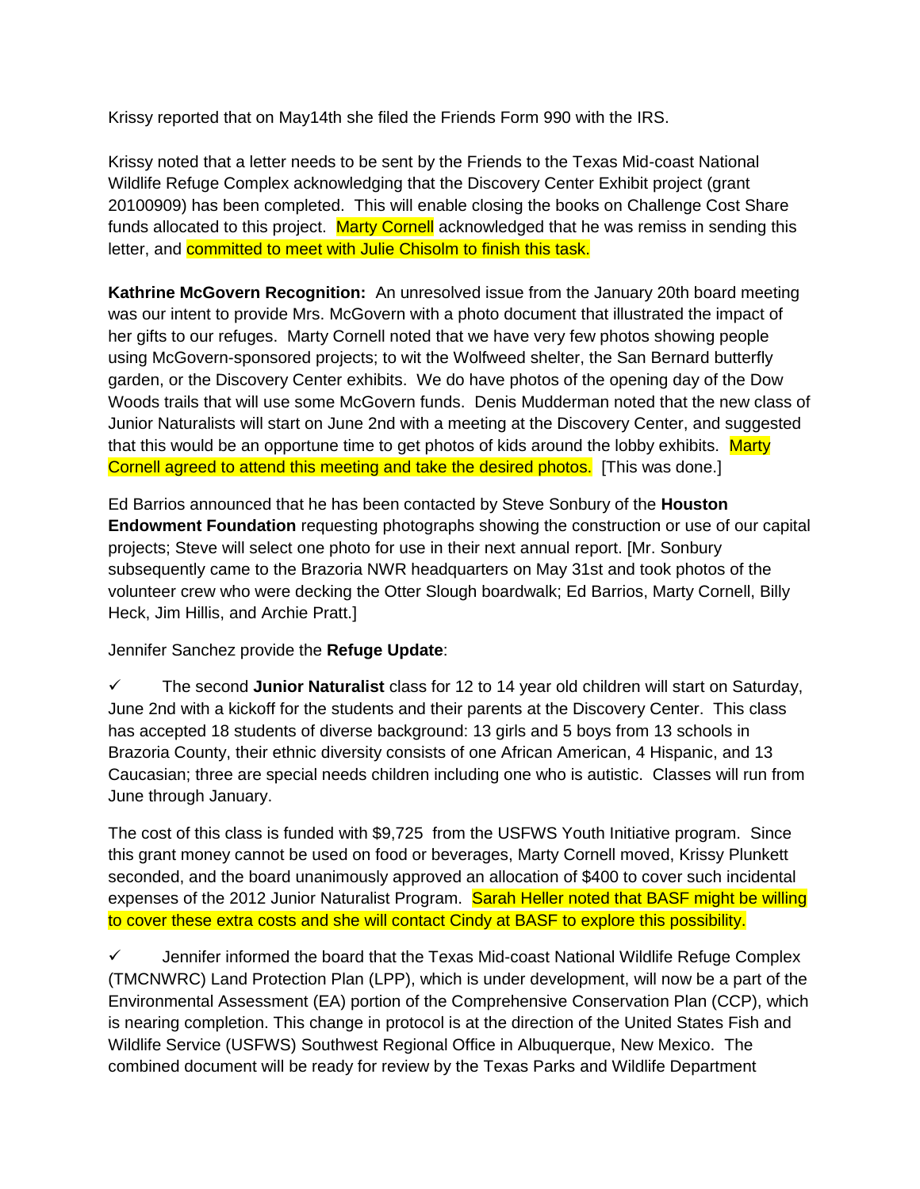Krissy reported that on May14th she filed the Friends Form 990 with the IRS.

Krissy noted that a letter needs to be sent by the Friends to the Texas Mid-coast National Wildlife Refuge Complex acknowledging that the Discovery Center Exhibit project (grant 20100909) has been completed. This will enable closing the books on Challenge Cost Share funds allocated to this project. Marty Cornell acknowledged that he was remiss in sending this letter, and **committed to meet with Julie Chisolm to finish this task.** 

**Kathrine McGovern Recognition:** An unresolved issue from the January 20th board meeting was our intent to provide Mrs. McGovern with a photo document that illustrated the impact of her gifts to our refuges. Marty Cornell noted that we have very few photos showing people using McGovern-sponsored projects; to wit the Wolfweed shelter, the San Bernard butterfly garden, or the Discovery Center exhibits. We do have photos of the opening day of the Dow Woods trails that will use some McGovern funds. Denis Mudderman noted that the new class of Junior Naturalists will start on June 2nd with a meeting at the Discovery Center, and suggested that this would be an opportune time to get photos of kids around the lobby exhibits. Marty Cornell agreed to attend this meeting and take the desired photos. [This was done.]

Ed Barrios announced that he has been contacted by Steve Sonbury of the **Houston Endowment Foundation** requesting photographs showing the construction or use of our capital projects; Steve will select one photo for use in their next annual report. [Mr. Sonbury subsequently came to the Brazoria NWR headquarters on May 31st and took photos of the volunteer crew who were decking the Otter Slough boardwalk; Ed Barrios, Marty Cornell, Billy Heck, Jim Hillis, and Archie Pratt.]

Jennifer Sanchez provide the **Refuge Update**:

✓ The second **Junior Naturalist** class for 12 to 14 year old children will start on Saturday, June 2nd with a kickoff for the students and their parents at the Discovery Center. This class has accepted 18 students of diverse background: 13 girls and 5 boys from 13 schools in Brazoria County, their ethnic diversity consists of one African American, 4 Hispanic, and 13 Caucasian; three are special needs children including one who is autistic. Classes will run from June through January.

The cost of this class is funded with \$9,725 from the USFWS Youth Initiative program. Since this grant money cannot be used on food or beverages, Marty Cornell moved, Krissy Plunkett seconded, and the board unanimously approved an allocation of \$400 to cover such incidental expenses of the 2012 Junior Naturalist Program. Sarah Heller noted that BASF might be willing to cover these extra costs and she will contact Cindy at BASF to explore this possibility.

✓ Jennifer informed the board that the Texas Mid-coast National Wildlife Refuge Complex (TMCNWRC) Land Protection Plan (LPP), which is under development, will now be a part of the Environmental Assessment (EA) portion of the Comprehensive Conservation Plan (CCP), which is nearing completion. This change in protocol is at the direction of the United States Fish and Wildlife Service (USFWS) Southwest Regional Office in Albuquerque, New Mexico. The combined document will be ready for review by the Texas Parks and Wildlife Department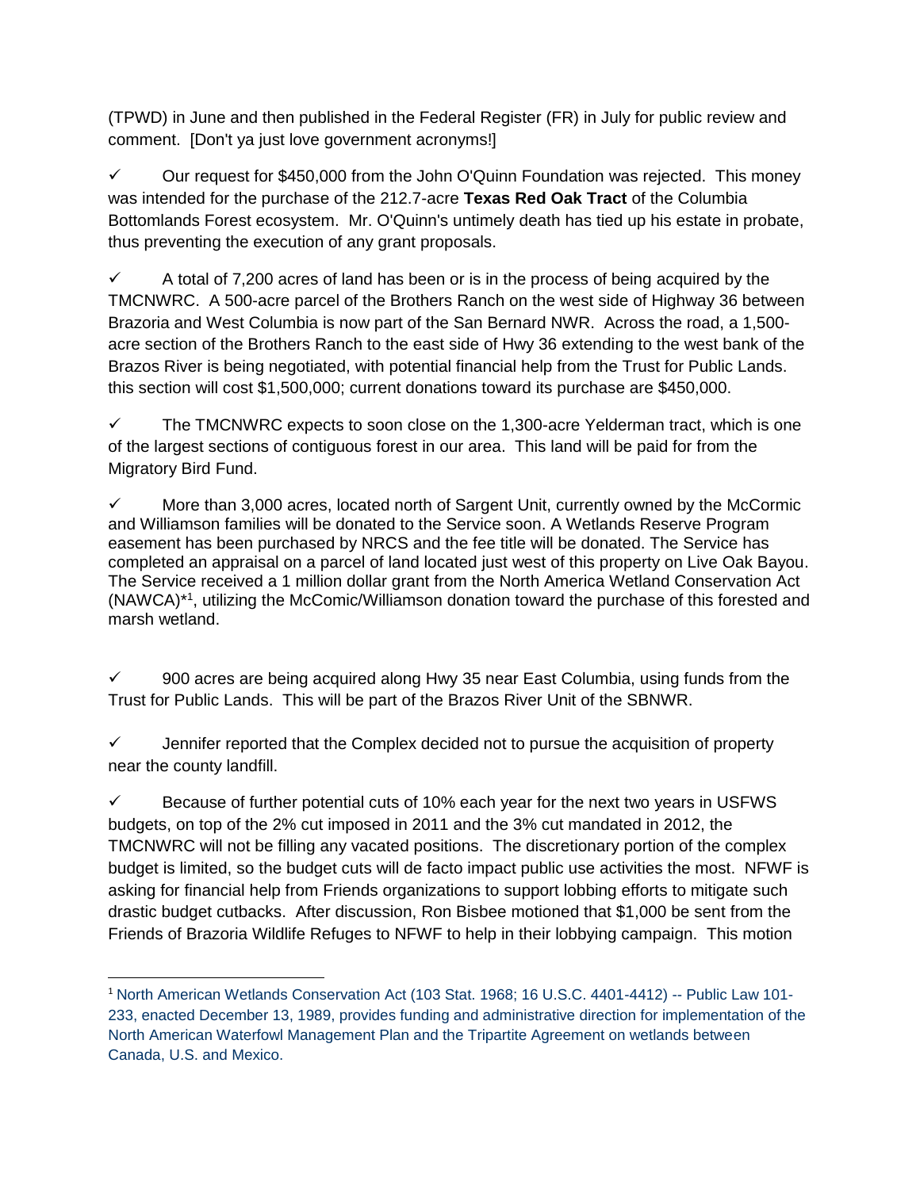(TPWD) in June and then published in the Federal Register (FR) in July for public review and comment. [Don't ya just love government acronyms!]

 $\checkmark$  Our request for \$450,000 from the John O'Quinn Foundation was rejected. This money was intended for the purchase of the 212.7-acre **Texas Red Oak Tract** of the Columbia Bottomlands Forest ecosystem. Mr. O'Quinn's untimely death has tied up his estate in probate, thus preventing the execution of any grant proposals.

 $\checkmark$  A total of 7,200 acres of land has been or is in the process of being acquired by the TMCNWRC. A 500-acre parcel of the Brothers Ranch on the west side of Highway 36 between Brazoria and West Columbia is now part of the San Bernard NWR. Across the road, a 1,500 acre section of the Brothers Ranch to the east side of Hwy 36 extending to the west bank of the Brazos River is being negotiated, with potential financial help from the Trust for Public Lands. this section will cost \$1,500,000; current donations toward its purchase are \$450,000.

 $\checkmark$  The TMCNWRC expects to soon close on the 1,300-acre Yelderman tract, which is one of the largest sections of contiguous forest in our area. This land will be paid for from the Migratory Bird Fund.

 $\checkmark$  More than 3,000 acres, located north of Sargent Unit, currently owned by the McCormic and Williamson families will be donated to the Service soon. A Wetlands Reserve Program easement has been purchased by NRCS and the fee title will be donated. The Service has completed an appraisal on a parcel of land located just west of this property on Live Oak Bayou. The Service received a 1 million dollar grant from the North America Wetland Conservation Act (NAWCA)\*<sup>1</sup> , utilizing the McComic/Williamson donation toward the purchase of this forested and marsh wetland.

 $\checkmark$  900 acres are being acquired along Hwy 35 near East Columbia, using funds from the Trust for Public Lands. This will be part of the Brazos River Unit of the SBNWR.

 $\checkmark$  Jennifer reported that the Complex decided not to pursue the acquisition of property near the county landfill.

 $\checkmark$  Because of further potential cuts of 10% each year for the next two years in USFWS budgets, on top of the 2% cut imposed in 2011 and the 3% cut mandated in 2012, the TMCNWRC will not be filling any vacated positions. The discretionary portion of the complex budget is limited, so the budget cuts will de facto impact public use activities the most. NFWF is asking for financial help from Friends organizations to support lobbing efforts to mitigate such drastic budget cutbacks. After discussion, Ron Bisbee motioned that \$1,000 be sent from the Friends of Brazoria Wildlife Refuges to NFWF to help in their lobbying campaign. This motion

 $\overline{a}$ <sup>1</sup> North American Wetlands Conservation Act (103 Stat. 1968; 16 U.S.C. 4401-4412) -- Public Law 101- 233, enacted December 13, 1989, provides funding and administrative direction for implementation of the North American Waterfowl Management Plan and the Tripartite Agreement on wetlands between Canada, U.S. and Mexico.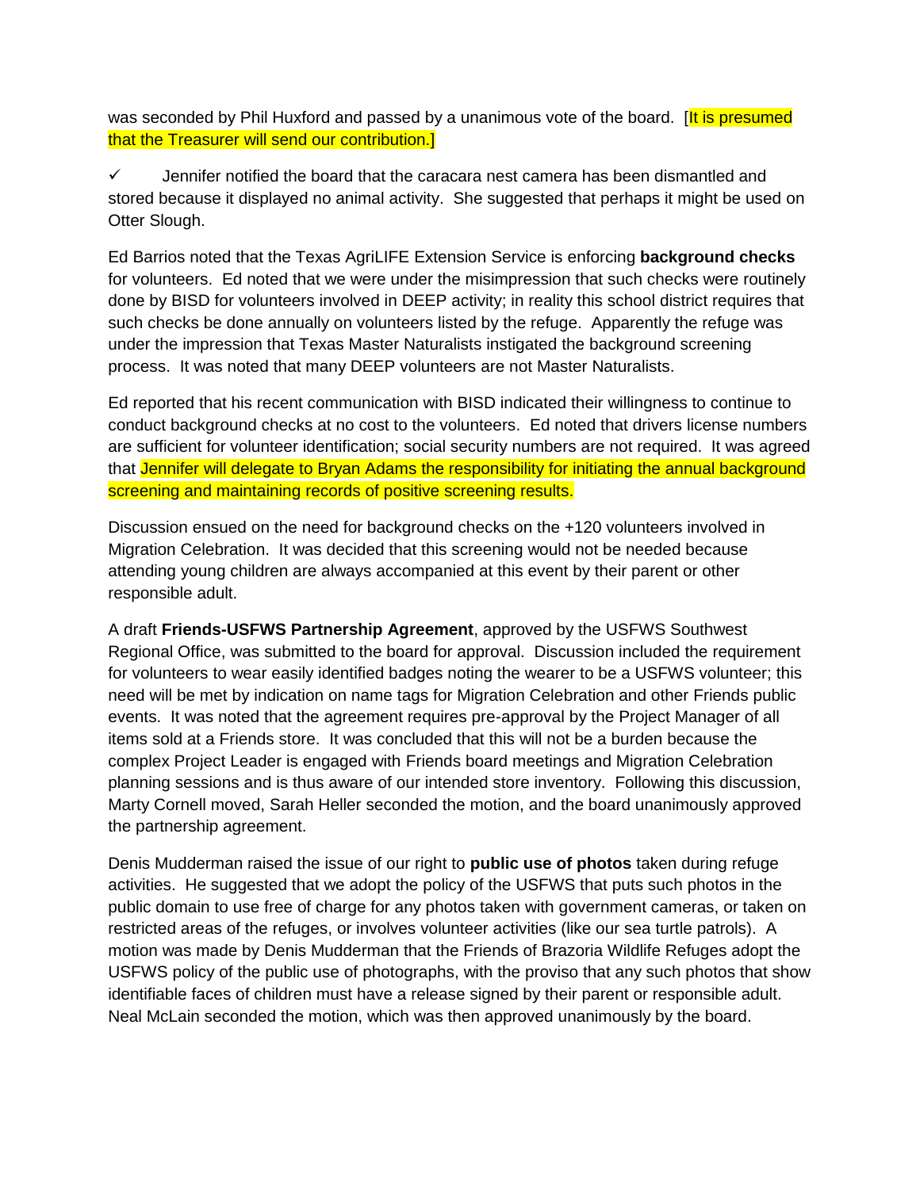was seconded by Phil Huxford and passed by a unanimous vote of the board. [It is presumed that the Treasurer will send our contribution.]

 $\checkmark$  Jennifer notified the board that the caracara nest camera has been dismantled and stored because it displayed no animal activity. She suggested that perhaps it might be used on Otter Slough.

Ed Barrios noted that the Texas AgriLIFE Extension Service is enforcing **background checks** for volunteers. Ed noted that we were under the misimpression that such checks were routinely done by BISD for volunteers involved in DEEP activity; in reality this school district requires that such checks be done annually on volunteers listed by the refuge. Apparently the refuge was under the impression that Texas Master Naturalists instigated the background screening process. It was noted that many DEEP volunteers are not Master Naturalists.

Ed reported that his recent communication with BISD indicated their willingness to continue to conduct background checks at no cost to the volunteers. Ed noted that drivers license numbers are sufficient for volunteer identification; social security numbers are not required. It was agreed that Jennifer will delegate to Bryan Adams the responsibility for initiating the annual background screening and maintaining records of positive screening results.

Discussion ensued on the need for background checks on the +120 volunteers involved in Migration Celebration. It was decided that this screening would not be needed because attending young children are always accompanied at this event by their parent or other responsible adult.

A draft **Friends-USFWS Partnership Agreement**, approved by the USFWS Southwest Regional Office, was submitted to the board for approval. Discussion included the requirement for volunteers to wear easily identified badges noting the wearer to be a USFWS volunteer; this need will be met by indication on name tags for Migration Celebration and other Friends public events. It was noted that the agreement requires pre-approval by the Project Manager of all items sold at a Friends store. It was concluded that this will not be a burden because the complex Project Leader is engaged with Friends board meetings and Migration Celebration planning sessions and is thus aware of our intended store inventory. Following this discussion, Marty Cornell moved, Sarah Heller seconded the motion, and the board unanimously approved the partnership agreement.

Denis Mudderman raised the issue of our right to **public use of photos** taken during refuge activities. He suggested that we adopt the policy of the USFWS that puts such photos in the public domain to use free of charge for any photos taken with government cameras, or taken on restricted areas of the refuges, or involves volunteer activities (like our sea turtle patrols). A motion was made by Denis Mudderman that the Friends of Brazoria Wildlife Refuges adopt the USFWS policy of the public use of photographs, with the proviso that any such photos that show identifiable faces of children must have a release signed by their parent or responsible adult. Neal McLain seconded the motion, which was then approved unanimously by the board.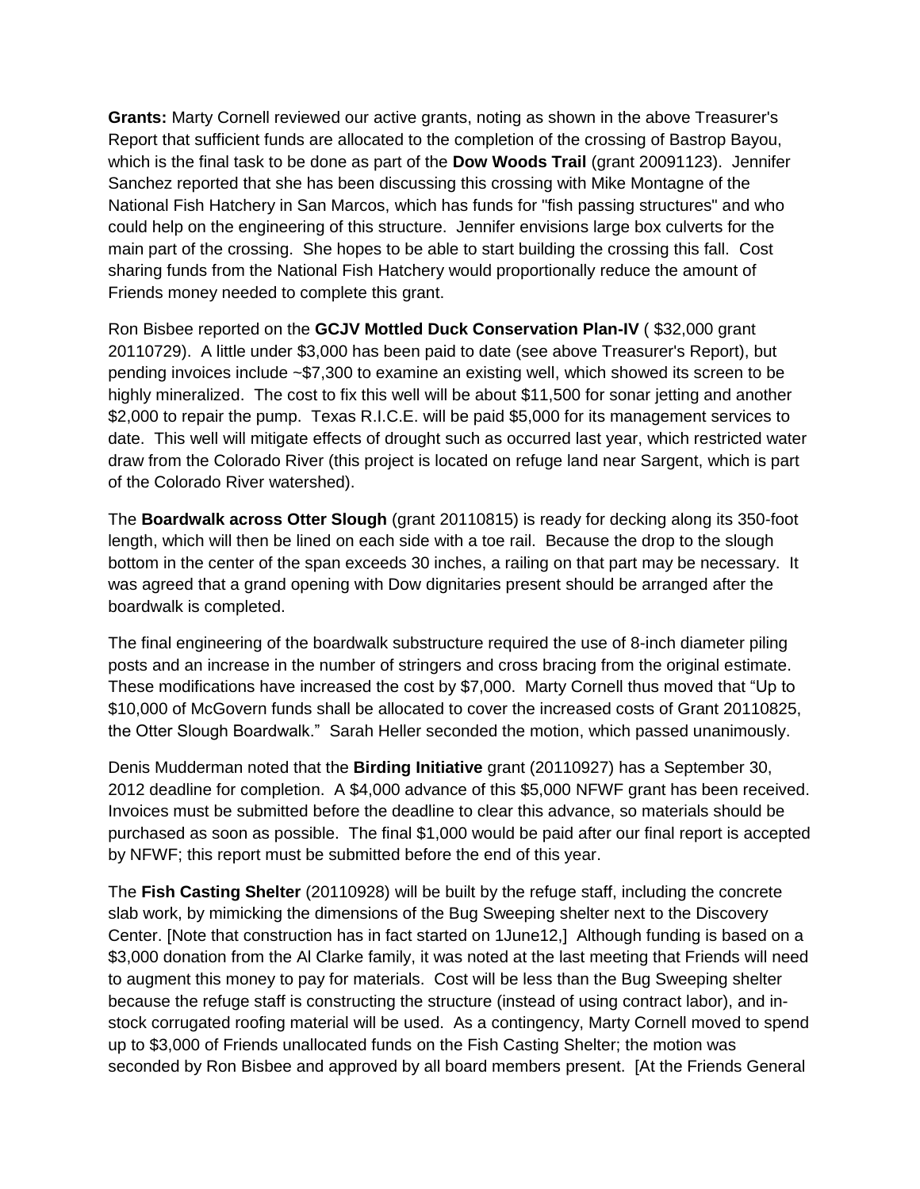**Grants:** Marty Cornell reviewed our active grants, noting as shown in the above Treasurer's Report that sufficient funds are allocated to the completion of the crossing of Bastrop Bayou, which is the final task to be done as part of the **Dow Woods Trail** (grant 20091123). Jennifer Sanchez reported that she has been discussing this crossing with Mike Montagne of the National Fish Hatchery in San Marcos, which has funds for "fish passing structures" and who could help on the engineering of this structure. Jennifer envisions large box culverts for the main part of the crossing. She hopes to be able to start building the crossing this fall. Cost sharing funds from the National Fish Hatchery would proportionally reduce the amount of Friends money needed to complete this grant.

Ron Bisbee reported on the **GCJV Mottled Duck Conservation Plan-IV** ( \$32,000 grant 20110729). A little under \$3,000 has been paid to date (see above Treasurer's Report), but pending invoices include ~\$7,300 to examine an existing well, which showed its screen to be highly mineralized. The cost to fix this well will be about \$11,500 for sonar jetting and another \$2,000 to repair the pump. Texas R.I.C.E. will be paid \$5,000 for its management services to date. This well will mitigate effects of drought such as occurred last year, which restricted water draw from the Colorado River (this project is located on refuge land near Sargent, which is part of the Colorado River watershed).

The **Boardwalk across Otter Slough** (grant 20110815) is ready for decking along its 350-foot length, which will then be lined on each side with a toe rail. Because the drop to the slough bottom in the center of the span exceeds 30 inches, a railing on that part may be necessary. It was agreed that a grand opening with Dow dignitaries present should be arranged after the boardwalk is completed.

The final engineering of the boardwalk substructure required the use of 8-inch diameter piling posts and an increase in the number of stringers and cross bracing from the original estimate. These modifications have increased the cost by \$7,000. Marty Cornell thus moved that "Up to \$10,000 of McGovern funds shall be allocated to cover the increased costs of Grant 20110825, the Otter Slough Boardwalk." Sarah Heller seconded the motion, which passed unanimously.

Denis Mudderman noted that the **Birding Initiative** grant (20110927) has a September 30, 2012 deadline for completion. A \$4,000 advance of this \$5,000 NFWF grant has been received. Invoices must be submitted before the deadline to clear this advance, so materials should be purchased as soon as possible. The final \$1,000 would be paid after our final report is accepted by NFWF; this report must be submitted before the end of this year.

The **Fish Casting Shelter** (20110928) will be built by the refuge staff, including the concrete slab work, by mimicking the dimensions of the Bug Sweeping shelter next to the Discovery Center. [Note that construction has in fact started on 1June12,] Although funding is based on a \$3,000 donation from the AI Clarke family, it was noted at the last meeting that Friends will need to augment this money to pay for materials. Cost will be less than the Bug Sweeping shelter because the refuge staff is constructing the structure (instead of using contract labor), and instock corrugated roofing material will be used. As a contingency, Marty Cornell moved to spend up to \$3,000 of Friends unallocated funds on the Fish Casting Shelter; the motion was seconded by Ron Bisbee and approved by all board members present. [At the Friends General